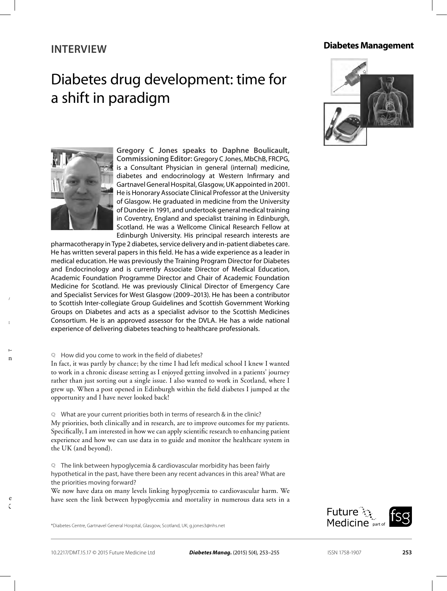### **INTERVIEW**

## Diabetes drug development: time for a shift in paradigm







**Gregory C Jones speaks to Daphne Boulicault, Commissioning Editor:** Gregory C Jones, MbChB, FRCPG, is a Consultant Physician in general (internal) medicine, diabetes and endocrinology at Western Infirmary and Gartnavel General Hospital, Glasgow, UK appointed in 2001. He is Honorary Associate Clinical Professor at the University of Glasgow. He graduated in medicine from the University of Dundee in 1991, and undertook general medical training in Coventry, England and specialist training in Edinburgh, Scotland. He was a Wellcome Clinical Research Fellow at Edinburgh University. His principal research interests are

pharmacotherapy in Type 2 diabetes, service delivery and in-patient diabetes care. He has written several papers in this field. He has a wide experience as a leader in medical education. He was previously the Training Program Director for Diabetes and Endocrinology and is currently Associate Director of Medical Education, Academic Foundation Programme Director and Chair of Academic Foundation Medicine for Scotland. He was previously Clinical Director of Emergency Care and Specialist Services for West Glasgow (2009–2013). He has been a contributor to Scottish Inter-collegiate Group Guidelines and Scottish Government Working Groups on Diabetes and acts as a specialist advisor to the Scottish Medicines Consortium. He is an approved assessor for the DVLA. He has a wide national experience of delivering diabetes teaching to healthcare professionals.

**Q** How did you come to work in the field of diabetes?

In fact, it was partly by chance; by the time I had left medical school I knew I wanted to work in a chronic disease setting as I enjoyed getting involved in a patients' journey rather than just sorting out a single issue. I also wanted to work in Scotland, where I grew up. When a post opened in Edinburgh within the field diabetes I jumped at the opportunity and I have never looked back!

**Q** What are your current priorities both in terms of research & in the clinic? My priorities, both clinically and in research, are to improve outcomes for my patients. Specifically, I am interested in how we can apply scientific research to enhancing patient experience and how we can use data in to guide and monitor the healthcare system in the UK (and beyond).

**Q** The link between hypoglycemia & cardiovascular morbidity has been fairly hypothetical in the past, have there been any recent advances in this area? What are the priorities moving forward?

We now have data on many levels linking hypoglycemia to cardiovascular harm. We have seen the link between hypoglycemia and mortality in numerous data sets in a

\*Diabetes Centre, Gartnavel General Hospital, Glasgow, Scotland, UK; g.jones3@nhs.net



 $e$  $\sim$ 

**10.2217/**

**© 2015 Future**

 $\overline{\phantom{a}}$  $\mathbf n$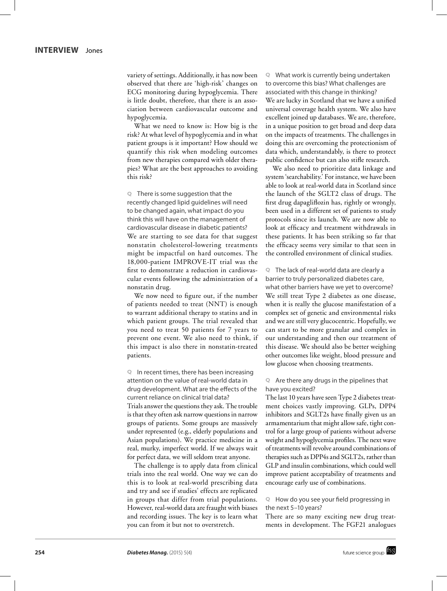variety of settings. Additionally, it has now been observed that there are 'high-risk' changes on ECG monitoring during hypoglycemia. There is little doubt, therefore, that there is an association between cardiovascular outcome and hypoglycemia.

What we need to know is: How big is the risk? At what level of hypoglycemia and in what patient groups is it important? How should we quantify this risk when modeling outcomes from new therapies compared with older therapies? What are the best approaches to avoiding this risk?

**Q** There is some suggestion that the recently changed lipid guidelines will need to be changed again, what impact do you think this will have on the management of cardiovascular disease in diabetic patients? We are starting to see data for that suggest nonstatin cholesterol-lowering treatments might be impactful on hard outcomes. The 18,000-patient IMPROVE-IT trial was the first to demonstrate a reduction in cardiovascular events following the administration of a nonstatin drug.

We now need to figure out, if the number of patients needed to treat (NNT) is enough to warrant additional therapy to statins and in which patient groups. The trial revealed that you need to treat 50 patients for 7 years to prevent one event. We also need to think, if this impact is also there in nonstatin-treated patients.

**Q** In recent times, there has been increasing attention on the value of real-world data in drug development. What are the effects of the current reliance on clinical trial data? Trials answer the questions they ask. The trouble is that they often ask narrow questions in narrow groups of patients. Some groups are massively under represented (e.g., elderly populations and Asian populations). We practice medicine in a real, murky, imperfect world. If we always wait for perfect data, we will seldom treat anyone.

The challenge is to apply data from clinical trials into the real world. One way we can do this is to look at real-world prescribing data and try and see if studies' effects are replicated in groups that differ from trial populations. However, real-world data are fraught with biases and recording issues. The key is to learn what you can from it but not to overstretch.

**Q** What work is currently being undertaken to overcome this bias? What challenges are associated with this change in thinking? We are lucky in Scotland that we have a unified universal coverage health system. We also have excellent joined up databases. We are, therefore, in a unique position to get broad and deep data on the impacts of treatments. The challenges in doing this are overcoming the protectionism of data which, understandably, is there to protect public confidence but can also stifle research.

We also need to prioritize data linkage and system 'searchability.' For instance, we have been able to look at real-world data in Scotland since the launch of the SGLT2 class of drugs. The first drug dapagliflozin has, rightly or wrongly, been used in a different set of patients to study protocols since its launch. We are now able to look at efficacy and treatment withdrawals in these patients. It has been striking so far that the efficacy seems very similar to that seen in the controlled environment of clinical studies.

**Q** The lack of real-world data are clearly a

barrier to truly personalized diabetes care, what other barriers have we yet to overcome? We still treat Type 2 diabetes as one disease, when it is really the glucose manifestation of a complex set of genetic and environmental risks and we are still very glucocentric. Hopefully, we can start to be more granular and complex in our understanding and then our treatment of this disease. We should also be better weighing other outcomes like weight, blood pressure and low glucose when choosing treatments.

#### **Q** Are there any drugs in the pipelines that have you excited?

The last 10 years have seen Type 2 diabetes treatment choices vastly improving. GLPs, DPP4 inhibitors and SGLT2s have finally given us an armamentarium that might allow safe, tight control for a large group of patients without adverse weight and hypoglycemia profiles. The next wave of treatments will revolve around combinations of therapies such as DPP4s and SGLT2s, rather than GLP and insulin combinations, which could well improve patient acceptability of treatments and encourage early use of combinations.

#### **Q** How do you see your field progressing in the next 5–10 years?

There are so many exciting new drug treatments in development. The FGF21 analogues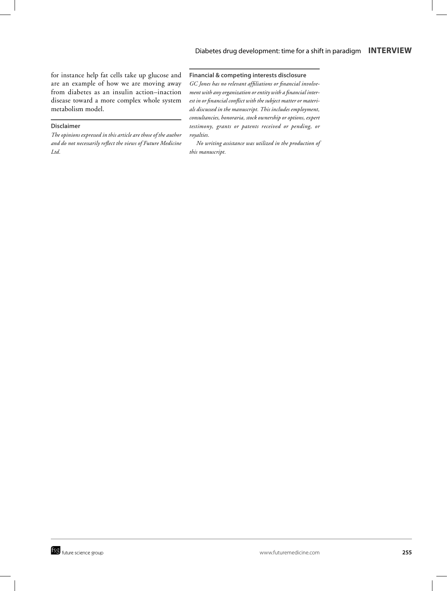for instance help fat cells take up glucose and are an example of how we are moving away from diabetes as an insulin action–inaction disease toward a more complex whole system metabolism model.

#### **Disclaimer**

*The opinions expressed in this article are those of the author and do not necessarily reflect the views of Future Medicine Ltd.*

#### **Financial & competing interests disclosure**

*GC Jones has no relevant affiliations or financial involvement with any organization or entity with a financial interest in or financial conflict with the subject matter or materials discussed in the manuscript. This includes employment, consultancies, honoraria, stock ownership or options, expert testimony, grants or patents received or pending, or royalties.*

*No writing assistance was utilized in the production of this manuscript.*